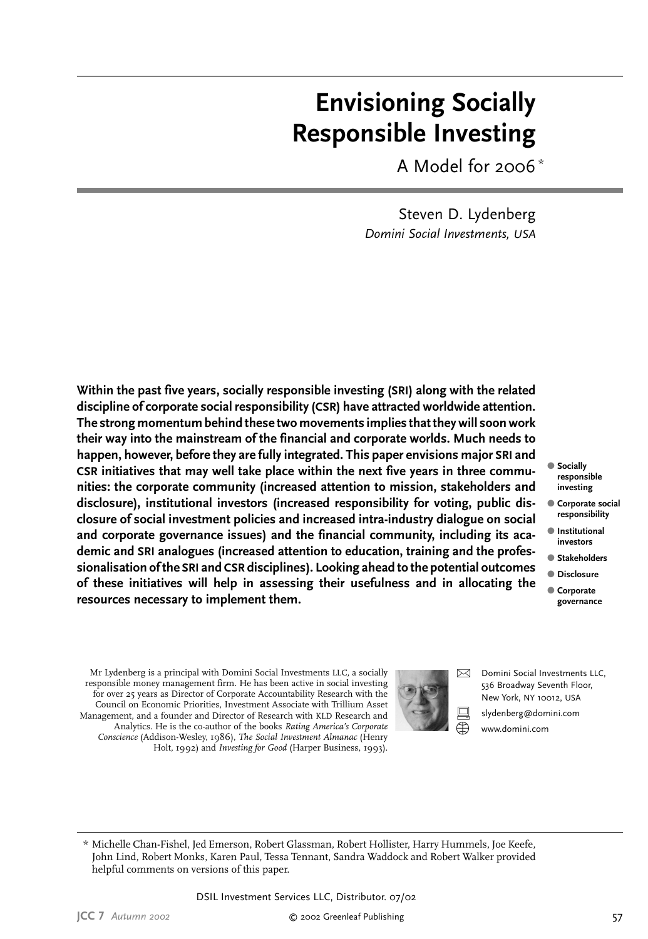# **Envisioning Socially Responsible Investing**

A Model for 2006 \*

Steven D. Lydenberg *Domini Social Investments, USA*

**Within the past five years, socially responsible investing (SRI) along with the related discipline of corporate social responsibility (CSR) have attracted worldwide attention. The strong momentum behind these two movements implies that they will soon work their way into the mainstream of the financial and corporate worlds. Much needs to happen, however, before they are fully integrated. This paper envisions major SRI and CSR initiatives that may well take place within the next five years in three communities: the corporate community (increased attention to mission, stakeholders and disclosure), institutional investors (increased responsibility for voting, public disclosure of social investment policies and increased intra-industry dialogue on social and corporate governance issues) and the financial community, including its academic and SRI analogues (increased attention to education, training and the professionalisation of the SRI and CSR disciplines). Looking ahead to the potential outcomes of these initiatives will help in assessing their usefulness and in allocating the resources necessary to implement them.**

- **Corporate social responsibility**
- **Institutional investors**
- **Stakeholders**
- **Disclosure**
- **Corporate governance**

Mr Lydenberg is a principal with Domini Social Investments LLC, a socially responsible money management firm. He has been active in social investing for over 25 years as Director of Corporate Accountability Research with the Council on Economic Priorities, Investment Associate with Trillium Asset Management, and a founder and Director of Research with KLD Research and Analytics. He is the co-author of the books *Rating America's Corporate Conscience* (Addison-Wesley, 1986), *The Social Investment Almanac* (Henry Holt, 1992) and *Investing for Good* (Harper Business, 1993).



 Domini Social Investments LLC, 536 Broadway Seventh Floor, New York, NY 10012, USA

 slydenberg@domini.com www.domini.com

\* Michelle Chan-Fishel, Jed Emerson, Robert Glassman, Robert Hollister, Harry Hummels, Joe Keefe, John Lind, Robert Monks, Karen Paul, Tessa Tennant, Sandra Waddock and Robert Walker provided helpful comments on versions of this paper.

DSIL Investment Services LLC, Distributor. 07/02

<sup>●</sup> **Socially responsible investing**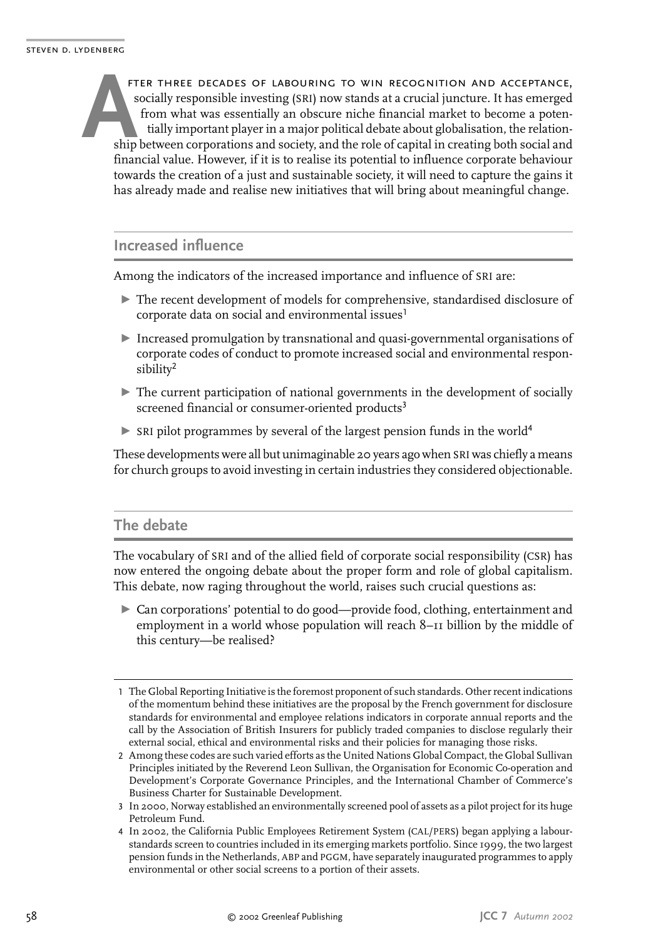FTER THREE DECADES OF LABOURING TO WIN RECOGNITION AND ACCEPTANCE, socially responsible investing (SRI) now stands at a crucial juncture. It has emerged from what was essentially an obscure niche financial market to become a potentially important player in a major political debate about globalisation, the relationship between corporations and society, and the role of capital in creating both social and financial value. However, if it is to realise its potential to influence corporate behaviour towards the creation of a just and sustainable society, it will need to capture the gains it has already made and realise new initiatives that will bring about meaningful change. **A**<br>
ship<br>
ship<br>
fnax

# **Increased influence**

Among the indicators of the increased importance and influence of SRI are:

- The recent development of models for comprehensive, standardised disclosure of corporate data on social and environmental issues<sup>1</sup>
- $\blacktriangleright$  Increased promulgation by transnational and quasi-governmental organisations of corporate codes of conduct to promote increased social and environmental responsibility<sup>2</sup>
- $\blacktriangleright$  The current participation of national governments in the development of socially screened financial or consumer-oriented products<sup>3</sup>
- $\triangleright$  SRI pilot programmes by several of the largest pension funds in the world<sup>4</sup>

These developments were all but unimaginable 20 years ago when SRI was chiefly a means for church groups to avoid investing in certain industries they considered objectionable.

# **The debate**

The vocabulary of SRI and of the allied field of corporate social responsibility (CSR) has now entered the ongoing debate about the proper form and role of global capitalism. This debate, now raging throughout the world, raises such crucial questions as:

Can corporations' potential to do good—provide food, clothing, entertainment and employment in a world whose population will reach 8-11 billion by the middle of this century—be realised?

<sup>1</sup> The Global Reporting Initiative is the foremost proponent of such standards. Other recent indications of the momentum behind these initiatives are the proposal by the French government for disclosure standards for environmental and employee relations indicators in corporate annual reports and the call by the Association of British Insurers for publicly traded companies to disclose regularly their external social, ethical and environmental risks and their policies for managing those risks.

<sup>2</sup> Among these codes are such varied efforts as the United Nations Global Compact, the Global Sullivan Principles initiated by the Reverend Leon Sullivan, the Organisation for Economic Co-operation and Development's Corporate Governance Principles, and the International Chamber of Commerce's Business Charter for Sustainable Development.

<sup>3</sup> In 2000, Norway established an environmentally screened pool of assets as a pilot project for its huge Petroleum Fund.

<sup>4</sup> In 2002, the California Public Employees Retirement System (CAL/PERS) began applying a labourstandards screen to countries included in its emerging markets portfolio. Since 1999, the two largest pension funds in the Netherlands, ABP and PGGM, have separately inaugurated programmes to apply environmental or other social screens to a portion of their assets.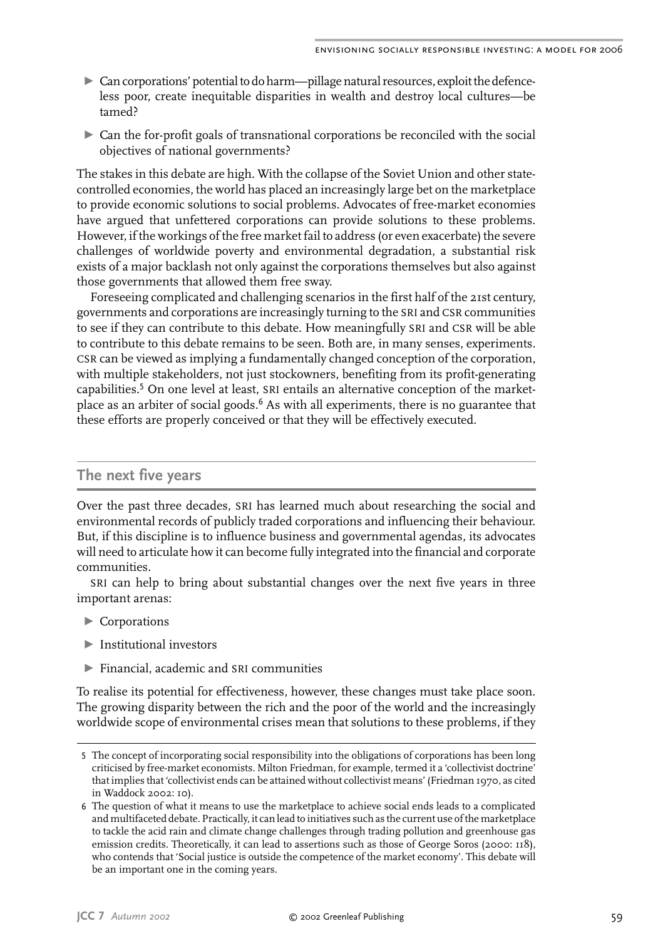- $\blacktriangleright$  Can corporations' potential to do harm--pillage natural resources, exploit the defenceless poor, create inequitable disparities in wealth and destroy local cultures—be tamed?
- $\triangleright$  Can the for-profit goals of transnational corporations be reconciled with the social objectives of national governments?

The stakes in this debate are high. With the collapse of the Soviet Union and other statecontrolled economies, the world has placed an increasingly large bet on the marketplace to provide economic solutions to social problems. Advocates of free-market economies have argued that unfettered corporations can provide solutions to these problems. However, if the workings of the free market fail to address (or even exacerbate) the severe challenges of worldwide poverty and environmental degradation, a substantial risk exists of a major backlash not only against the corporations themselves but also against those governments that allowed them free sway.

Foreseeing complicated and challenging scenarios in the first half of the 21st century, governments and corporations are increasingly turning to the SRI and CSR communities to see if they can contribute to this debate. How meaningfully SRI and CSR will be able to contribute to this debate remains to be seen. Both are, in many senses, experiments. CSR can be viewed as implying a fundamentally changed conception of the corporation, with multiple stakeholders, not just stockowners, benefiting from its profit-generating capabilities.<sup>5</sup> On one level at least, SRI entails an alternative conception of the marketplace as an arbiter of social goods.<sup>6</sup> As with all experiments, there is no guarantee that these efforts are properly conceived or that they will be effectively executed.

# **The next five years**

Over the past three decades, SRI has learned much about researching the social and environmental records of publicly traded corporations and influencing their behaviour. But, if this discipline is to influence business and governmental agendas, its advocates will need to articulate how it can become fully integrated into the financial and corporate communities.

SRI can help to bring about substantial changes over the next five years in three important arenas:

- $\blacktriangleright$  Corporations
- $\blacktriangleright$  Institutional investors
- Financial, academic and SRI communities

To realise its potential for effectiveness, however, these changes must take place soon. The growing disparity between the rich and the poor of the world and the increasingly worldwide scope of environmental crises mean that solutions to these problems, if they

<sup>5</sup> The concept of incorporating social responsibility into the obligations of corporations has been long criticised by free-market economists. Milton Friedman, for example, termed it a 'collectivist doctrine' that implies that 'collectivist ends can be attained without collectivist means' (Friedman 1970, as cited in Waddock 2002: 10).

<sup>6</sup> The question of what it means to use the marketplace to achieve social ends leads to a complicated and multifaceted debate. Practically, it can lead to initiatives such as the current use of the marketplace to tackle the acid rain and climate change challenges through trading pollution and greenhouse gas emission credits. Theoretically, it can lead to assertions such as those of George Soros (2000: 118), who contends that 'Social justice is outside the competence of the market economy'. This debate will be an important one in the coming years.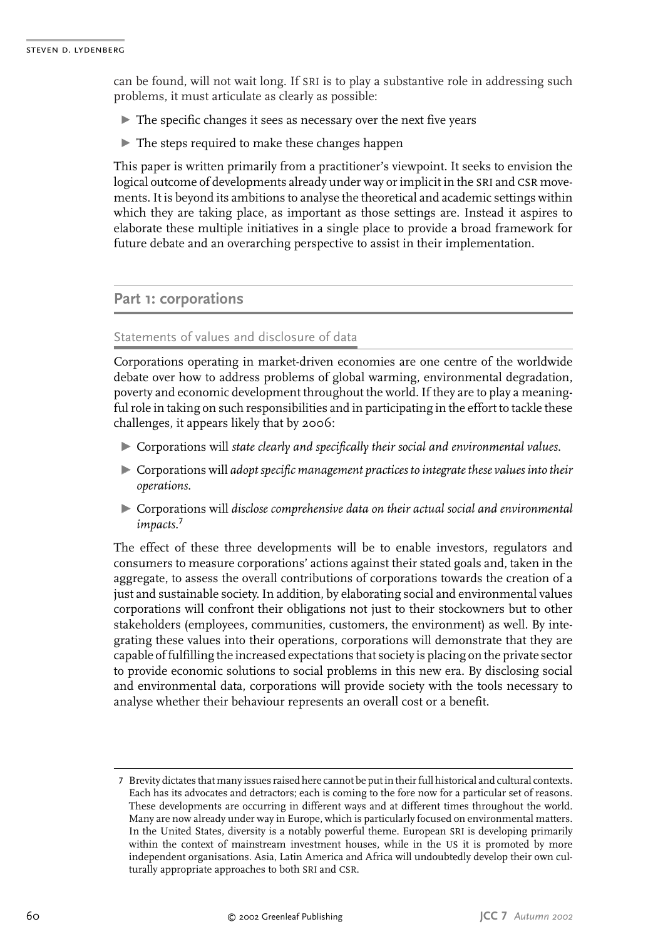can be found, will not wait long. If SRI is to play a substantive role in addressing such problems, it must articulate as clearly as possible:

- $\blacktriangleright$  The specific changes it sees as necessary over the next five years
- $\blacktriangleright$  The steps required to make these changes happen

This paper is written primarily from a practitioner's viewpoint. It seeks to envision the logical outcome of developments already under way or implicit in the SRI and CSR movements. It is beyond its ambitions to analyse the theoretical and academic settings within which they are taking place, as important as those settings are. Instead it aspires to elaborate these multiple initiatives in a single place to provide a broad framework for future debate and an overarching perspective to assist in their implementation.

# **Part 1: corporations**

# Statements of values and disclosure of data

Corporations operating in market-driven economies are one centre of the worldwide debate over how to address problems of global warming, environmental degradation, poverty and economic development throughout the world. If they are to play a meaningful role in taking on such responsibilities and in participating in the effort to tackle these challenges, it appears likely that by 2006:

- $\blacktriangleright$  Corporations will state clearly and specifically their social and environmental values.
- torporations will adopt specific management practices to integrate these values into their *operations.*
- $\blacktriangleright$  Corporations will disclose comprehensive data on their actual social and environmental *impacts.*<sup>7</sup>

The effect of these three developments will be to enable investors, regulators and consumers to measure corporations' actions against their stated goals and, taken in the aggregate, to assess the overall contributions of corporations towards the creation of a just and sustainable society. In addition, by elaborating social and environmental values corporations will confront their obligations not just to their stockowners but to other stakeholders (employees, communities, customers, the environment) as well. By integrating these values into their operations, corporations will demonstrate that they are capable of fulfilling the increased expectations that society is placing on the private sector to provide economic solutions to social problems in this new era. By disclosing social and environmental data, corporations will provide society with the tools necessary to analyse whether their behaviour represents an overall cost or a benefit.

<sup>7</sup> Brevity dictates that many issues raised here cannot be put in their full historical and cultural contexts. Each has its advocates and detractors; each is coming to the fore now for a particular set of reasons. These developments are occurring in different ways and at different times throughout the world. Many are now already under way in Europe, which is particularly focused on environmental matters. In the United States, diversity is a notably powerful theme. European SRI is developing primarily within the context of mainstream investment houses, while in the US it is promoted by more independent organisations. Asia, Latin America and Africa will undoubtedly develop their own culturally appropriate approaches to both SRI and CSR.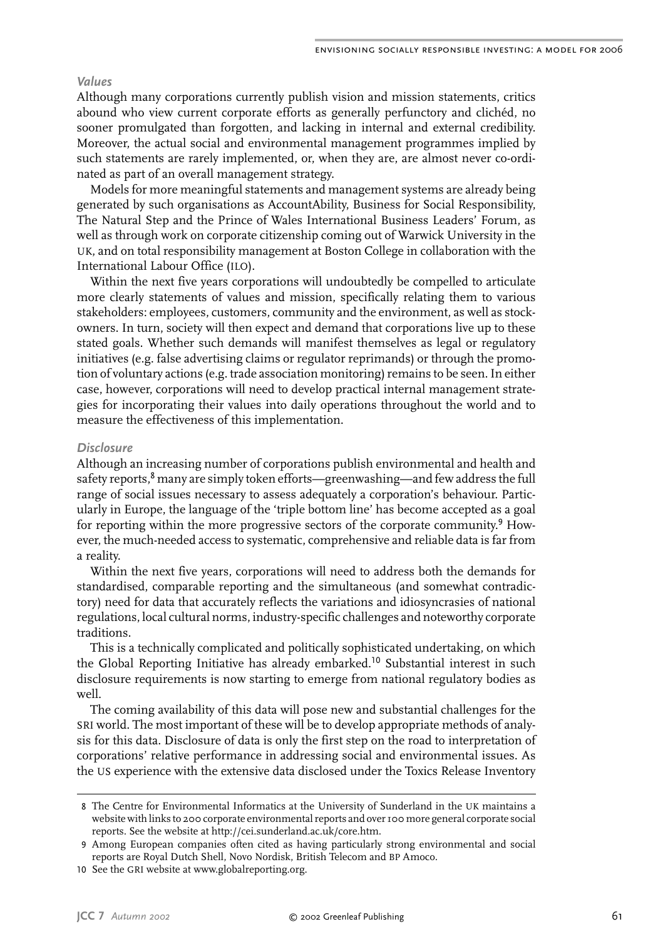#### *Values*

Although many corporations currently publish vision and mission statements, critics abound who view current corporate efforts as generally perfunctory and clichéd, no sooner promulgated than forgotten, and lacking in internal and external credibility. Moreover, the actual social and environmental management programmes implied by such statements are rarely implemented, or, when they are, are almost never co-ordinated as part of an overall management strategy.

Models for more meaningful statements and management systems are already being generated by such organisations as AccountAbility, Business for Social Responsibility, The Natural Step and the Prince of Wales International Business Leaders' Forum, as well as through work on corporate citizenship coming out of Warwick University in the UK, and on total responsibility management at Boston College in collaboration with the International Labour Office (ILO).

Within the next five years corporations will undoubtedly be compelled to articulate more clearly statements of values and mission, specifically relating them to various stakeholders: employees, customers, community and the environment, as well as stockowners. In turn, society will then expect and demand that corporations live up to these stated goals. Whether such demands will manifest themselves as legal or regulatory initiatives (e.g. false advertising claims or regulator reprimands) or through the promotion of voluntary actions (e.g. trade association monitoring) remains to be seen. In either case, however, corporations will need to develop practical internal management strategies for incorporating their values into daily operations throughout the world and to measure the effectiveness of this implementation.

#### *Disclosure*

Although an increasing number of corporations publish environmental and health and safety reports,<sup>8</sup> many are simply token efforts—greenwashing—and few address the full range of social issues necessary to assess adequately a corporation's behaviour. Particularly in Europe, the language of the 'triple bottom line' has become accepted as a goal for reporting within the more progressive sectors of the corporate community.<sup>9</sup> However, the much-needed access to systematic, comprehensive and reliable data is far from a reality.

Within the next five years, corporations will need to address both the demands for standardised, comparable reporting and the simultaneous (and somewhat contradictory) need for data that accurately reflects the variations and idiosyncrasies of national regulations, local cultural norms, industry-specific challenges and noteworthy corporate traditions.

This is a technically complicated and politically sophisticated undertaking, on which the Global Reporting Initiative has already embarked.<sup>10</sup> Substantial interest in such disclosure requirements is now starting to emerge from national regulatory bodies as well.

The coming availability of this data will pose new and substantial challenges for the SRI world. The most important of these will be to develop appropriate methods of analysis for this data. Disclosure of data is only the first step on the road to interpretation of corporations' relative performance in addressing social and environmental issues. As the US experience with the extensive data disclosed under the Toxics Release Inventory

<sup>8</sup> The Centre for Environmental Informatics at the University of Sunderland in the UK maintains a website with links to 200 corporate environmental reports and over 100 more general corporate social reports. See the website at http://cei.sunderland.ac.uk/core.htm.

<sup>9</sup> Among European companies often cited as having particularly strong environmental and social reports are Royal Dutch Shell, Novo Nordisk, British Telecom and BP Amoco.

<sup>10</sup> See the GRI website at www.globalreporting.org.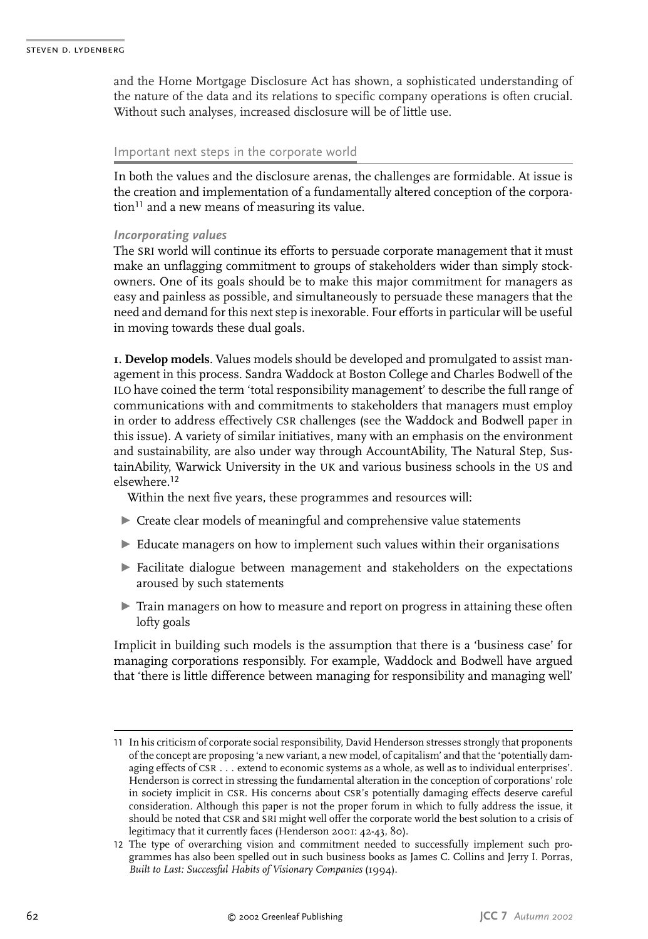and the Home Mortgage Disclosure Act has shown, a sophisticated understanding of the nature of the data and its relations to specific company operations is often crucial. Without such analyses, increased disclosure will be of little use.

#### Important next steps in the corporate world

In both the values and the disclosure arenas, the challenges are formidable. At issue is the creation and implementation of a fundamentally altered conception of the corpora- $\text{tion}^{\text{11}}$  and a new means of measuring its value.

#### *Incorporating values*

The SRI world will continue its efforts to persuade corporate management that it must make an unflagging commitment to groups of stakeholders wider than simply stockowners. One of its goals should be to make this major commitment for managers as easy and painless as possible, and simultaneously to persuade these managers that the need and demand for this next step is inexorable. Four efforts in particular will be useful in moving towards these dual goals.

**1. Develop models***.* Values models should be developed and promulgated to assist management in this process. Sandra Waddock at Boston College and Charles Bodwell of the ILO have coined the term 'total responsibility management' to describe the full range of communications with and commitments to stakeholders that managers must employ in order to address effectively CSR challenges (see the Waddock and Bodwell paper in this issue). A variety of similar initiatives, many with an emphasis on the environment and sustainability, are also under way through AccountAbility, The Natural Step, SustainAbility, Warwick University in the UK and various business schools in the US and elsewhere.<sup>12</sup>

Within the next five years, these programmes and resources will:

- $\blacktriangleright$  Create clear models of meaningful and comprehensive value statements
- $\blacktriangleright$  Educate managers on how to implement such values within their organisations
- $\blacktriangleright$  Facilitate dialogue between management and stakeholders on the expectations aroused by such statements
- $\blacktriangleright$  Train managers on how to measure and report on progress in attaining these often lofty goals

Implicit in building such models is the assumption that there is a 'business case' for managing corporations responsibly. For example, Waddock and Bodwell have argued that 'there is little difference between managing for responsibility and managing well'

<sup>11</sup> In his criticism of corporate social responsibility, David Henderson stresses strongly that proponents of the concept are proposing 'a new variant, a new model, of capitalism' and that the 'potentially damaging effects of CSR ... extend to economic systems as a whole, as well as to individual enterprises'. Henderson is correct in stressing the fundamental alteration in the conception of corporations' role in society implicit in CSR. His concerns about CSR's potentially damaging effects deserve careful consideration. Although this paper is not the proper forum in which to fully address the issue, it should be noted that CSR and SRI might well offer the corporate world the best solution to a crisis of legitimacy that it currently faces (Henderson 2001: 42-43, 80).

<sup>12</sup> The type of overarching vision and commitment needed to successfully implement such programmes has also been spelled out in such business books as James C. Collins and Jerry I. Porras, *Built to Last: Successful Habits of Visionary Companies* (1994).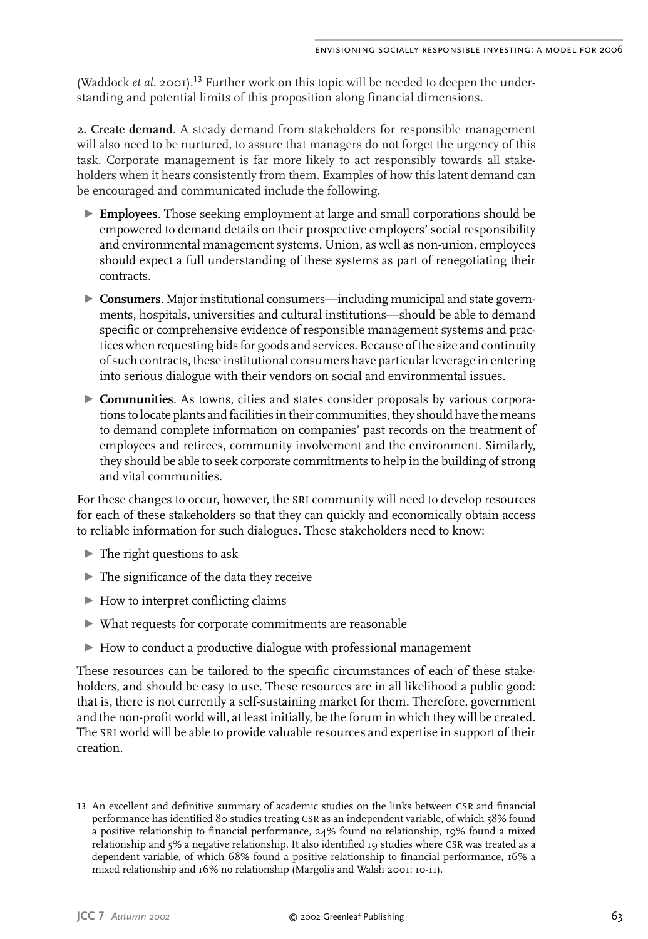(Waddock *et al*. 2001).<sup>13</sup> Further work on this topic will be needed to deepen the understanding and potential limits of this proposition along financial dimensions.

**2. Create demand***.* A steady demand from stakeholders for responsible management will also need to be nurtured, to assure that managers do not forget the urgency of this task. Corporate management is far more likely to act responsibly towards all stakeholders when it hears consistently from them. Examples of how this latent demand can be encouraged and communicated include the following.

- **Employees**. Those seeking employment at large and small corporations should be empowered to demand details on their prospective employers' social responsibility and environmental management systems. Union, as well as non-union, employees should expect a full understanding of these systems as part of renegotiating their contracts.
- **Consumers**. Major institutional consumers—including municipal and state governments, hospitals, universities and cultural institutions—should be able to demand specific or comprehensive evidence of responsible management systems and practices when requesting bids for goods and services. Because of the size and continuity of such contracts, these institutional consumers have particular leverage in entering into serious dialogue with their vendors on social and environmental issues.
- **Communities**. As towns, cities and states consider proposals by various corporations to locate plants and facilities in their communities, they should have the means to demand complete information on companies' past records on the treatment of employees and retirees, community involvement and the environment. Similarly, they should be able to seek corporate commitments to help in the building of strong and vital communities.

For these changes to occur, however, the SRI community will need to develop resources for each of these stakeholders so that they can quickly and economically obtain access to reliable information for such dialogues. These stakeholders need to know:

- $\blacktriangleright$  The right questions to ask
- $\blacktriangleright$  The significance of the data they receive
- $\blacktriangleright$  How to interpret conflicting claims
- $\blacktriangleright$  What requests for corporate commitments are reasonable
- $\blacktriangleright$  How to conduct a productive dialogue with professional management

These resources can be tailored to the specific circumstances of each of these stakeholders, and should be easy to use. These resources are in all likelihood a public good: that is, there is not currently a self-sustaining market for them. Therefore, government and the non-profit world will, at least initially, be the forum in which they will be created. The SRI world will be able to provide valuable resources and expertise in support of their creation.

<sup>13</sup> An excellent and definitive summary of academic studies on the links between CSR and financial performance has identified 80 studies treating CSR as an independent variable, of which 58% found a positive relationship to financial performance, 24% found no relationship, 19% found a mixed relationship and 5% a negative relationship. It also identified 19 studies where CSR was treated as a dependent variable, of which 68% found a positive relationship to financial performance, 16% a mixed relationship and 16% no relationship (Margolis and Walsh 2001: 10-11).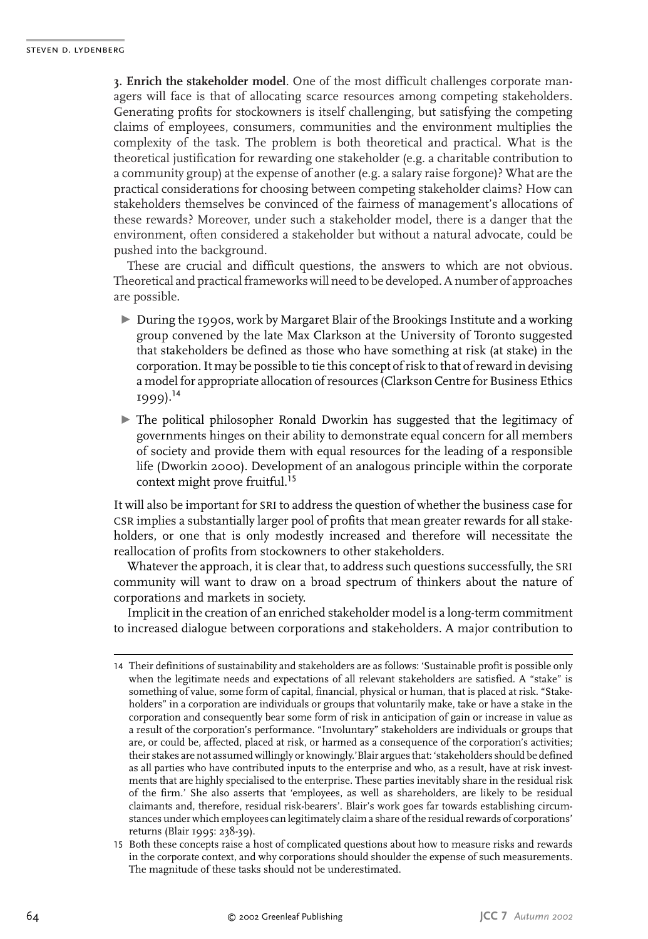**3. Enrich the stakeholder model***.* One of the most difficult challenges corporate managers will face is that of allocating scarce resources among competing stakeholders. Generating profits for stockowners is itself challenging, but satisfying the competing claims of employees, consumers, communities and the environment multiplies the complexity of the task. The problem is both theoretical and practical. What is the theoretical justification for rewarding one stakeholder (e.g. a charitable contribution to a community group) at the expense of another (e.g. a salary raise forgone)? What are the practical considerations for choosing between competing stakeholder claims? How can stakeholders themselves be convinced of the fairness of management's allocations of these rewards? Moreover, under such a stakeholder model, there is a danger that the environment, often considered a stakeholder but without a natural advocate, could be pushed into the background.

These are crucial and difficult questions, the answers to which are not obvious. Theoretical and practical frameworks will need to be developed. A number of approaches are possible.

- During the 1990s, work by Margaret Blair of the Brookings Institute and a working group convened by the late Max Clarkson at the University of Toronto suggested that stakeholders be defined as those who have something at risk (at stake) in the corporation. It may be possible to tie this concept of risk to that of reward in devising a model for appropriate allocation of resources (Clarkson Centre for Business Ethics  $1999$ ).<sup>14</sup>
- The political philosopher Ronald Dworkin has suggested that the legitimacy of governments hinges on their ability to demonstrate equal concern for all members of society and provide them with equal resources for the leading of a responsible life (Dworkin 2000). Development of an analogous principle within the corporate context might prove fruitful.<sup>15</sup>

It will also be important for SRI to address the question of whether the business case for CSR implies a substantially larger pool of profits that mean greater rewards for all stakeholders, or one that is only modestly increased and therefore will necessitate the reallocation of profits from stockowners to other stakeholders.

Whatever the approach, it is clear that, to address such questions successfully, the SRI community will want to draw on a broad spectrum of thinkers about the nature of corporations and markets in society.

Implicit in the creation of an enriched stakeholder model is a long-term commitment to increased dialogue between corporations and stakeholders. A major contribution to

<sup>14</sup> Their definitions of sustainability and stakeholders are as follows: 'Sustainable profit is possible only when the legitimate needs and expectations of all relevant stakeholders are satisfied. A "stake" is something of value, some form of capital, financial, physical or human, that is placed at risk. "Stakeholders" in a corporation are individuals or groups that voluntarily make, take or have a stake in the corporation and consequently bear some form of risk in anticipation of gain or increase in value as a result of the corporation's performance. "Involuntary" stakeholders are individuals or groups that are, or could be, affected, placed at risk, or harmed as a consequence of the corporation's activities; their stakes are not assumed willingly or knowingly.'Blair argues that: 'stakeholders should be defined as all parties who have contributed inputs to the enterprise and who, as a result, have at risk investments that are highly specialised to the enterprise. These parties inevitably share in the residual risk of the firm.' She also asserts that 'employees, as well as shareholders, are likely to be residual claimants and, therefore, residual risk-bearers'. Blair's work goes far towards establishing circumstances under which employees can legitimately claim a share of the residual rewards of corporations' returns (Blair 1995: 238-39).

<sup>15</sup> Both these concepts raise a host of complicated questions about how to measure risks and rewards in the corporate context, and why corporations should shoulder the expense of such measurements. The magnitude of these tasks should not be underestimated.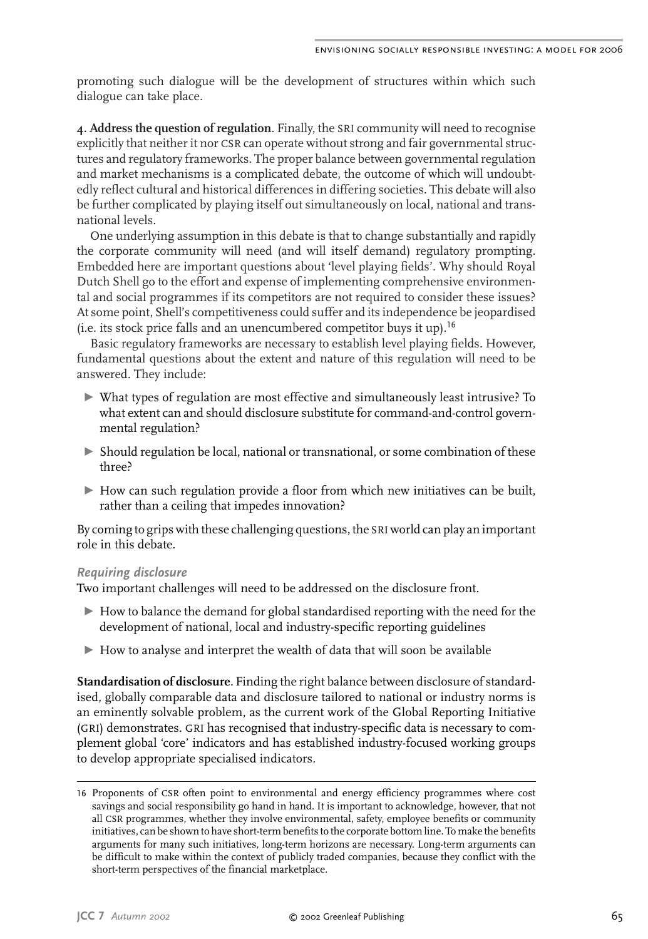promoting such dialogue will be the development of structures within which such dialogue can take place.

**4. Address the question of regulation***.* Finally, the SRI community will need to recognise explicitly that neither it nor CSR can operate without strong and fair governmental structures and regulatory frameworks. The proper balance between governmental regulation and market mechanisms is a complicated debate, the outcome of which will undoubtedly reflect cultural and historical differences in differing societies. This debate will also be further complicated by playing itself out simultaneously on local, national and transnational levels.

One underlying assumption in this debate is that to change substantially and rapidly the corporate community will need (and will itself demand) regulatory prompting. Embedded here are important questions about 'level playing fields'. Why should Royal Dutch Shell go to the effort and expense of implementing comprehensive environmental and social programmes if its competitors are not required to consider these issues? At some point, Shell's competitiveness could suffer and its independence be jeopardised (i.e. its stock price falls and an unencumbered competitor buys it up).<sup>16</sup>

Basic regulatory frameworks are necessary to establish level playing fields. However, fundamental questions about the extent and nature of this regulation will need to be answered. They include:

- t What types of regulation are most effective and simultaneously least intrusive? To what extent can and should disclosure substitute for command-and-control governmental regulation?
- $\blacktriangleright$  Should regulation be local, national or transnational, or some combination of these three?
- $\blacktriangleright$  How can such regulation provide a floor from which new initiatives can be built, rather than a ceiling that impedes innovation?

By coming to grips with these challenging questions, the SRI world can play an important role in this debate.

# *Requiring disclosure*

Two important challenges will need to be addressed on the disclosure front.

- $\blacktriangleright$  How to balance the demand for global standardised reporting with the need for the development of national, local and industry-specific reporting guidelines
- $\blacktriangleright$  How to analyse and interpret the wealth of data that will soon be available

**Standardisation of disclosure***.* Finding the right balance between disclosure of standardised, globally comparable data and disclosure tailored to national or industry norms is an eminently solvable problem, as the current work of the Global Reporting Initiative (GRI) demonstrates. GRI has recognised that industry-specific data is necessary to complement global 'core' indicators and has established industry-focused working groups to develop appropriate specialised indicators.

<sup>16</sup> Proponents of CSR often point to environmental and energy efficiency programmes where cost savings and social responsibility go hand in hand. It is important to acknowledge, however, that not all CSR programmes, whether they involve environmental, safety, employee benefits or community initiatives, can be shown to have short-term benefits to the corporate bottom line. To make the benefits arguments for many such initiatives, long-term horizons are necessary. Long-term arguments can be difficult to make within the context of publicly traded companies, because they conflict with the short-term perspectives of the financial marketplace.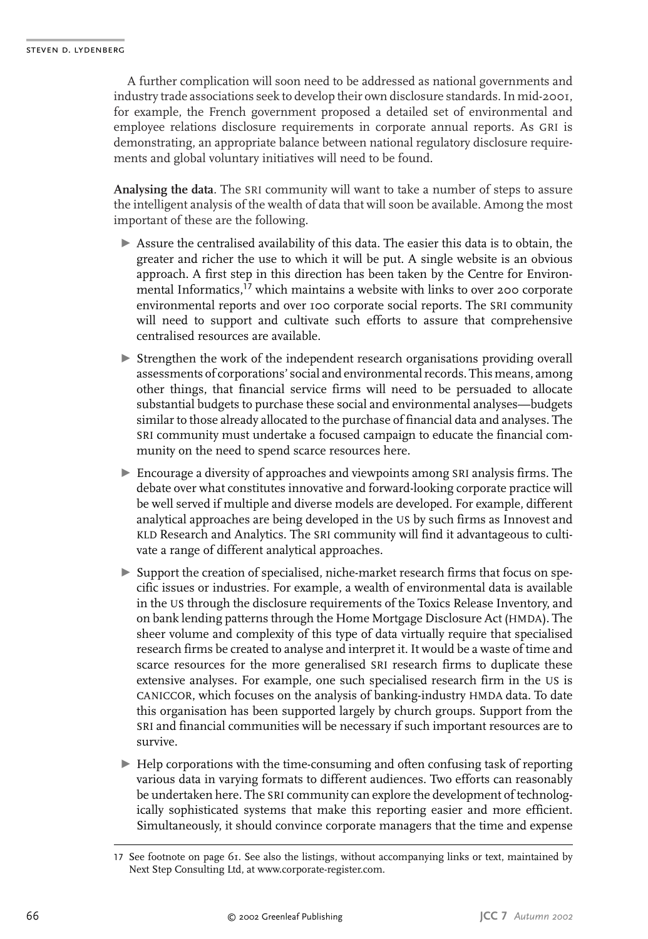A further complication will soon need to be addressed as national governments and industry trade associations seek to develop their own disclosure standards. In mid-2001, for example, the French government proposed a detailed set of environmental and employee relations disclosure requirements in corporate annual reports. As GRI is demonstrating, an appropriate balance between national regulatory disclosure requirements and global voluntary initiatives will need to be found.

**Analysing the data***.* The SRI community will want to take a number of steps to assure the intelligent analysis of the wealth of data that will soon be available. Among the most important of these are the following.

- $\blacktriangleright$  Assure the centralised availability of this data. The easier this data is to obtain, the greater and richer the use to which it will be put. A single website is an obvious approach. A first step in this direction has been taken by the Centre for Environmental Informatics,<sup>17</sup> which maintains a website with links to over 200 corporate environmental reports and over 100 corporate social reports. The SRI community will need to support and cultivate such efforts to assure that comprehensive centralised resources are available.
- Strengthen the work of the independent research organisations providing overall assessments of corporations' social and environmental records. This means, among other things, that financial service firms will need to be persuaded to allocate substantial budgets to purchase these social and environmental analyses—budgets similar to those already allocated to the purchase of financial data and analyses. The SRI community must undertake a focused campaign to educate the financial community on the need to spend scarce resources here.
- $\blacktriangleright$  Encourage a diversity of approaches and viewpoints among SRI analysis firms. The debate over what constitutes innovative and forward-looking corporate practice will be well served if multiple and diverse models are developed. For example, different analytical approaches are being developed in the US by such firms as Innovest and KLD Research and Analytics. The SRI community will find it advantageous to cultivate a range of different analytical approaches.
- Support the creation of specialised, niche-market research firms that focus on specific issues or industries. For example, a wealth of environmental data is available in the US through the disclosure requirements of the Toxics Release Inventory, and on bank lending patterns through the Home Mortgage Disclosure Act (HMDA). The sheer volume and complexity of this type of data virtually require that specialised research firms be created to analyse and interpret it. It would be a waste of time and scarce resources for the more generalised SRI research firms to duplicate these extensive analyses. For example, one such specialised research firm in the US is CANICCOR, which focuses on the analysis of banking-industry HMDA data. To date this organisation has been supported largely by church groups. Support from the SRI and financial communities will be necessary if such important resources are to survive.
- $\blacktriangleright$  Help corporations with the time-consuming and often confusing task of reporting various data in varying formats to different audiences. Two efforts can reasonably be undertaken here. The SRI community can explore the development of technologically sophisticated systems that make this reporting easier and more efficient. Simultaneously, it should convince corporate managers that the time and expense

<sup>17</sup> See footnote on page 61. See also the listings, without accompanying links or text, maintained by Next Step Consulting Ltd, at www.corporate-register.com.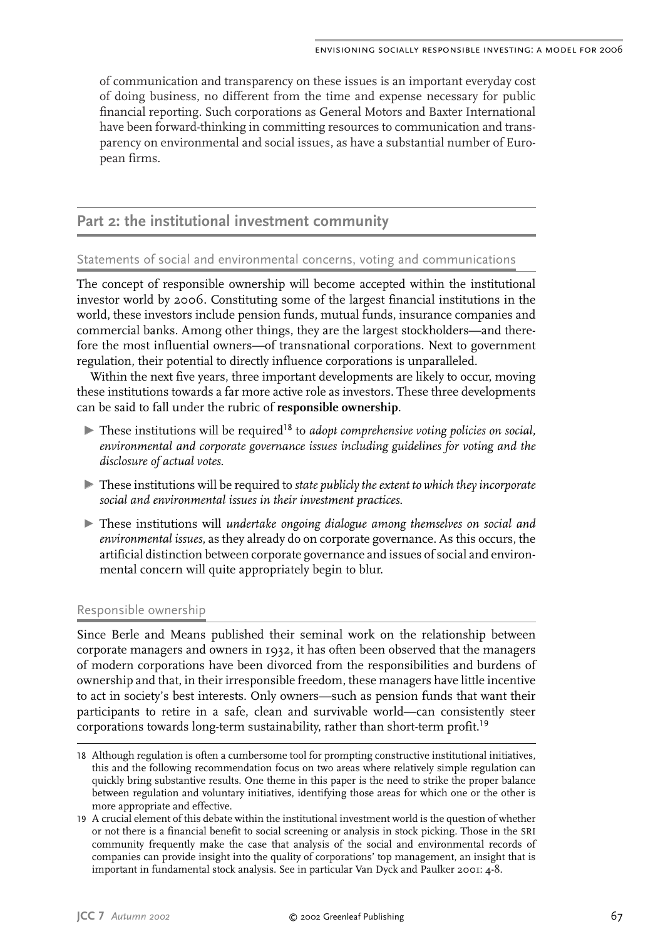of communication and transparency on these issues is an important everyday cost of doing business, no different from the time and expense necessary for public financial reporting. Such corporations as General Motors and Baxter International have been forward-thinking in committing resources to communication and transparency on environmental and social issues, as have a substantial number of European firms.

# **Part 2: the institutional investment community**

#### Statements of social and environmental concerns, voting and communications

The concept of responsible ownership will become accepted within the institutional investor world by 2006. Constituting some of the largest financial institutions in the world, these investors include pension funds, mutual funds, insurance companies and commercial banks. Among other things, they are the largest stockholders—and therefore the most influential owners—of transnational corporations. Next to government regulation, their potential to directly influence corporations is unparalleled.

Within the next five years, three important developments are likely to occur, moving these institutions towards a far more active role as investors. These three developments can be said to fall under the rubric of **responsible ownership**.

- These institutions will be required<sup>18</sup> to *adopt comprehensive voting policies on social*, *environmental and corporate governance issues including guidelines for voting and the disclosure of actual votes*.
- These institutions will be required to *state publicly the extent to which they incorporate social and environmental issues in their investment practices*.
- t These institutions will *undertake ongoing dialogue among themselves on social and environmental issues*, as they already do on corporate governance. As this occurs, the artificial distinction between corporate governance and issues of social and environmental concern will quite appropriately begin to blur.

## Responsible ownership

Since Berle and Means published their seminal work on the relationship between corporate managers and owners in 1932, it has often been observed that the managers of modern corporations have been divorced from the responsibilities and burdens of ownership and that, in their irresponsible freedom, these managers have little incentive to act in society's best interests. Only owners—such as pension funds that want their participants to retire in a safe, clean and survivable world—can consistently steer corporations towards long-term sustainability, rather than short-term profit.<sup>19</sup>

<sup>18</sup> Although regulation is often a cumbersome tool for prompting constructive institutional initiatives, this and the following recommendation focus on two areas where relatively simple regulation can quickly bring substantive results. One theme in this paper is the need to strike the proper balance between regulation and voluntary initiatives, identifying those areas for which one or the other is more appropriate and effective.

<sup>19</sup> A crucial element of this debate within the institutional investment world is the question of whether or not there is a financial benefit to social screening or analysis in stock picking. Those in the SRI community frequently make the case that analysis of the social and environmental records of companies can provide insight into the quality of corporations' top management, an insight that is important in fundamental stock analysis. See in particular Van Dyck and Paulker 2001: 4-8.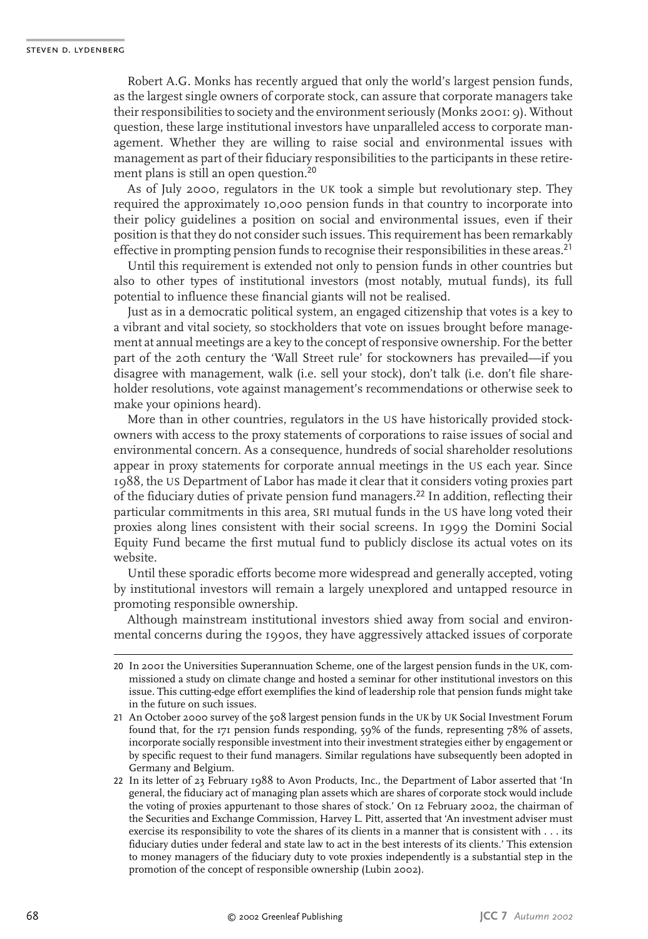Robert A.G. Monks has recently argued that only the world's largest pension funds, as the largest single owners of corporate stock, can assure that corporate managers take their responsibilities to society and the environment seriously (Monks 2001: 9). Without question, these large institutional investors have unparalleled access to corporate management. Whether they are willing to raise social and environmental issues with management as part of their fiduciary responsibilities to the participants in these retirement plans is still an open question.<sup>20</sup>

As of July 2000, regulators in the UK took a simple but revolutionary step. They required the approximately 10,000 pension funds in that country to incorporate into their policy guidelines a position on social and environmental issues, even if their position is that they do not consider such issues. This requirement has been remarkably effective in prompting pension funds to recognise their responsibilities in these areas.<sup>21</sup>

Until this requirement is extended not only to pension funds in other countries but also to other types of institutional investors (most notably, mutual funds), its full potential to influence these financial giants will not be realised.

Just as in a democratic political system, an engaged citizenship that votes is a key to a vibrant and vital society, so stockholders that vote on issues brought before management at annual meetings are a key to the concept of responsive ownership. For the better part of the 20th century the 'Wall Street rule' for stockowners has prevailed—if you disagree with management, walk (i.e. sell your stock), don't talk (i.e. don't file shareholder resolutions, vote against management's recommendations or otherwise seek to make your opinions heard).

More than in other countries, regulators in the US have historically provided stockowners with access to the proxy statements of corporations to raise issues of social and environmental concern. As a consequence, hundreds of social shareholder resolutions appear in proxy statements for corporate annual meetings in the US each year. Since 1988, the US Department of Labor has made it clear that it considers voting proxies part of the fiduciary duties of private pension fund managers.<sup>22</sup> In addition, reflecting their particular commitments in this area, SRI mutual funds in the US have long voted their proxies along lines consistent with their social screens. In 1999 the Domini Social Equity Fund became the first mutual fund to publicly disclose its actual votes on its website.

Until these sporadic efforts become more widespread and generally accepted, voting by institutional investors will remain a largely unexplored and untapped resource in promoting responsible ownership.

Although mainstream institutional investors shied away from social and environmental concerns during the 1990s, they have aggressively attacked issues of corporate

<sup>20</sup> In 2001 the Universities Superannuation Scheme, one of the largest pension funds in the UK, commissioned a study on climate change and hosted a seminar for other institutional investors on this issue. This cutting-edge effort exemplifies the kind of leadership role that pension funds might take in the future on such issues.

<sup>21</sup> An October 2000 survey of the 508 largest pension funds in the UK by UK Social Investment Forum found that, for the 171 pension funds responding, 59% of the funds, representing 78% of assets, incorporate socially responsible investment into their investment strategies either by engagement or by specific request to their fund managers. Similar regulations have subsequently been adopted in Germany and Belgium.

<sup>22</sup> In its letter of 23 February 1988 to Avon Products, Inc., the Department of Labor asserted that 'In general, the fiduciary act of managing plan assets which are shares of corporate stock would include the voting of proxies appurtenant to those shares of stock.' On 12 February 2002, the chairman of the Securities and Exchange Commission, Harvey L. Pitt, asserted that 'An investment adviser must exercise its responsibility to vote the shares of its clients in a manner that is consistent with . . . its fiduciary duties under federal and state law to act in the best interests of its clients.' This extension to money managers of the fiduciary duty to vote proxies independently is a substantial step in the promotion of the concept of responsible ownership (Lubin 2002).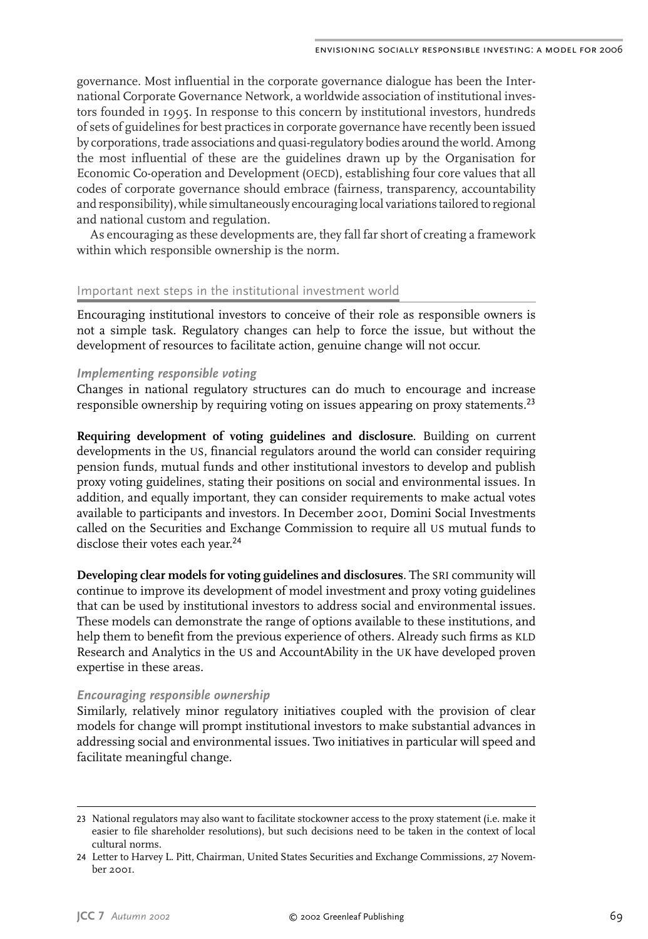governance. Most influential in the corporate governance dialogue has been the International Corporate Governance Network, a worldwide association of institutional investors founded in 1995. In response to this concern by institutional investors, hundreds of sets of guidelines for best practices in corporate governance have recently been issued by corporations, trade associations and quasi-regulatory bodies around the world. Among the most influential of these are the guidelines drawn up by the Organisation for Economic Co-operation and Development (OECD), establishing four core values that all codes of corporate governance should embrace (fairness, transparency, accountability and responsibility), while simultaneously encouraging local variations tailored to regional and national custom and regulation.

As encouraging as these developments are, they fall far short of creating a framework within which responsible ownership is the norm.

#### Important next steps in the institutional investment world

Encouraging institutional investors to conceive of their role as responsible owners is not a simple task. Regulatory changes can help to force the issue, but without the development of resources to facilitate action, genuine change will not occur.

#### *Implementing responsible voting*

Changes in national regulatory structures can do much to encourage and increase responsible ownership by requiring voting on issues appearing on proxy statements.<sup>23</sup>

**Requiring development of voting guidelines and disclosure**. Building on current developments in the US, financial regulators around the world can consider requiring pension funds, mutual funds and other institutional investors to develop and publish proxy voting guidelines, stating their positions on social and environmental issues. In addition, and equally important, they can consider requirements to make actual votes available to participants and investors. In December 2001, Domini Social Investments called on the Securities and Exchange Commission to require all US mutual funds to disclose their votes each year.<sup>24</sup>

**Developing clear models for voting guidelines and disclosures**. The SRI community will continue to improve its development of model investment and proxy voting guidelines that can be used by institutional investors to address social and environmental issues. These models can demonstrate the range of options available to these institutions, and help them to benefit from the previous experience of others. Already such firms as KLD Research and Analytics in the US and AccountAbility in the UK have developed proven expertise in these areas.

#### *Encouraging responsible ownership*

Similarly, relatively minor regulatory initiatives coupled with the provision of clear models for change will prompt institutional investors to make substantial advances in addressing social and environmental issues. Two initiatives in particular will speed and facilitate meaningful change.

<sup>23</sup> National regulators may also want to facilitate stockowner access to the proxy statement (i.e. make it easier to file shareholder resolutions), but such decisions need to be taken in the context of local cultural norms.

<sup>24</sup> Letter to Harvey L. Pitt, Chairman, United States Securities and Exchange Commissions, 27 November 2001.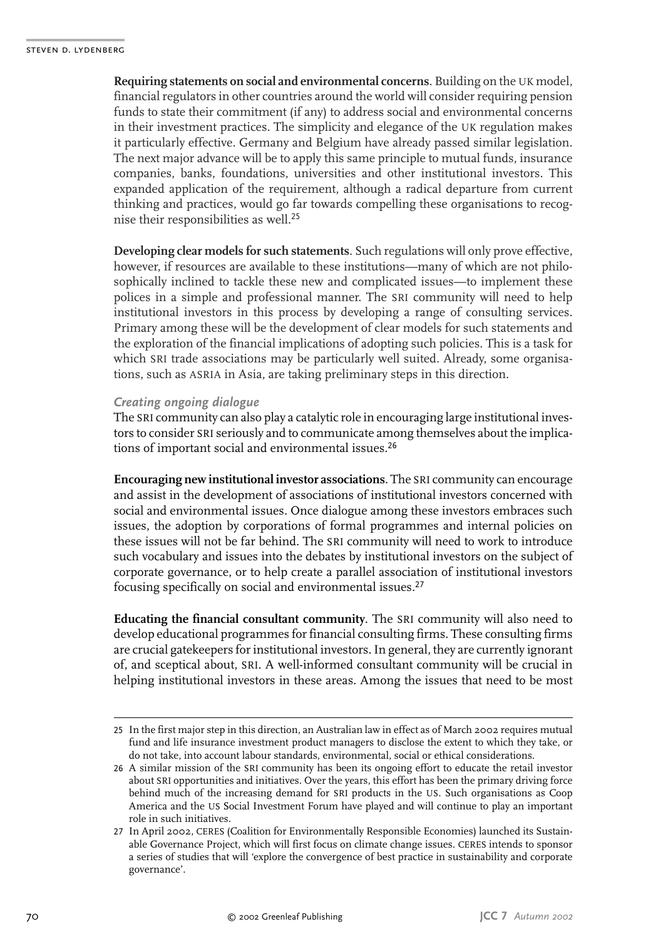**Requiring statements on social and environmental concerns**. Building on the UK model, financial regulators in other countries around the world will consider requiring pension funds to state their commitment (if any) to address social and environmental concerns in their investment practices. The simplicity and elegance of the UK regulation makes it particularly effective. Germany and Belgium have already passed similar legislation. The next major advance will be to apply this same principle to mutual funds, insurance companies, banks, foundations, universities and other institutional investors. This expanded application of the requirement, although a radical departure from current thinking and practices, would go far towards compelling these organisations to recognise their responsibilities as well.<sup>25</sup>

**Developing clear models for such statements**. Such regulations will only prove effective, however, if resources are available to these institutions—many of which are not philosophically inclined to tackle these new and complicated issues—to implement these polices in a simple and professional manner. The SRI community will need to help institutional investors in this process by developing a range of consulting services. Primary among these will be the development of clear models for such statements and the exploration of the financial implications of adopting such policies. This is a task for which SRI trade associations may be particularly well suited. Already, some organisations, such as ASRIA in Asia, are taking preliminary steps in this direction.

#### *Creating ongoing dialogue*

The SRI community can also play a catalytic role in encouraging large institutional investors to consider SRI seriously and to communicate among themselves about the implications of important social and environmental issues.<sup>26</sup>

**Encouraging new institutional investor associations**. The SRI community can encourage and assist in the development of associations of institutional investors concerned with social and environmental issues. Once dialogue among these investors embraces such issues, the adoption by corporations of formal programmes and internal policies on these issues will not be far behind. The SRI community will need to work to introduce such vocabulary and issues into the debates by institutional investors on the subject of corporate governance, or to help create a parallel association of institutional investors focusing specifically on social and environmental issues.<sup>27</sup>

**Educating the financial consultant community**. The SRI community will also need to develop educational programmes for financial consulting firms. These consulting firms are crucial gatekeepers for institutional investors. In general, they are currently ignorant of, and sceptical about, SRI. A well-informed consultant community will be crucial in helping institutional investors in these areas. Among the issues that need to be most

<sup>25</sup> In the first major step in this direction, an Australian law in effect as of March 2002 requires mutual fund and life insurance investment product managers to disclose the extent to which they take, or do not take, into account labour standards, environmental, social or ethical considerations.

<sup>26</sup> A similar mission of the SRI community has been its ongoing effort to educate the retail investor about SRI opportunities and initiatives. Over the years, this effort has been the primary driving force behind much of the increasing demand for SRI products in the US. Such organisations as Coop America and the US Social Investment Forum have played and will continue to play an important role in such initiatives.

<sup>27</sup> In April 2002, CERES (Coalition for Environmentally Responsible Economies) launched its Sustainable Governance Project, which will first focus on climate change issues. CERES intends to sponsor a series of studies that will 'explore the convergence of best practice in sustainability and corporate governance'.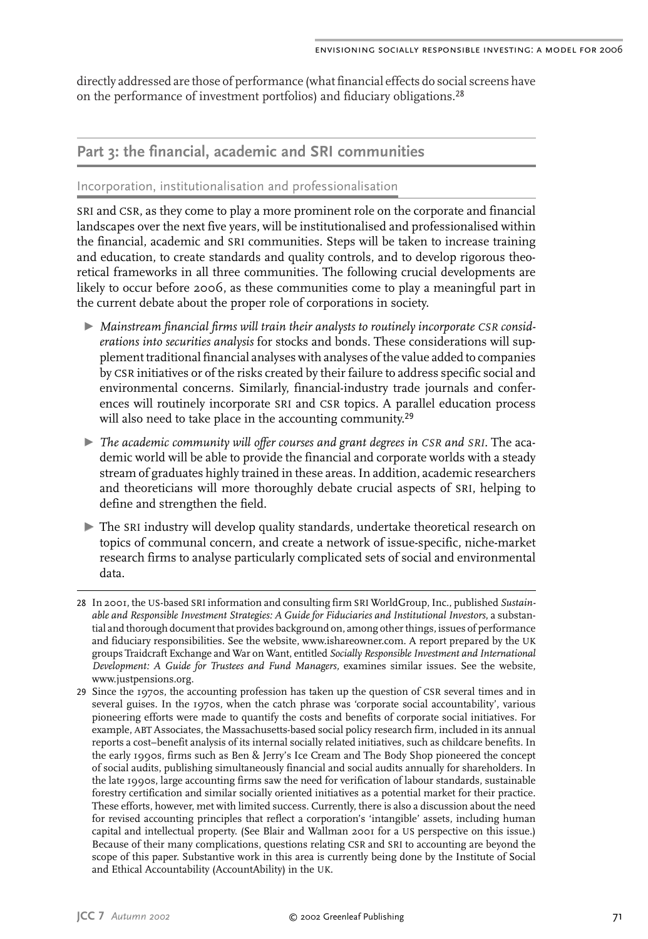directly addressed are those of performance (what financial effects do social screens have on the performance of investment portfolios) and fiduciary obligations.<sup>28</sup>

# **Part 3: the financial, academic and SRI communities**

# Incorporation, institutionalisation and professionalisation

SRI and CSR, as they come to play a more prominent role on the corporate and financial landscapes over the next five years, will be institutionalised and professionalised within the financial, academic and SRI communities. Steps will be taken to increase training and education, to create standards and quality controls, and to develop rigorous theoretical frameworks in all three communities. The following crucial developments are likely to occur before 2006, as these communities come to play a meaningful part in the current debate about the proper role of corporations in society.

- $\blacktriangleright$  Mainstream financial firms will train their analysts to routinely incorporate CSR consid*erations into securities analysis* for stocks and bonds. These considerations will supplement traditional financial analyses with analyses of the value added to companies by CSR initiatives or of the risks created by their failure to address specific social and environmental concerns. Similarly, financial-industry trade journals and conferences will routinely incorporate SRI and CSR topics. A parallel education process will also need to take place in the accounting community.<sup>29</sup>
- t *The academic community will offer courses and grant degrees in CSR and SRI.* The academic world will be able to provide the financial and corporate worlds with a steady stream of graduates highly trained in these areas. In addition, academic researchers and theoreticians will more thoroughly debate crucial aspects of SRI, helping to define and strengthen the field.
- The SRI industry will develop quality standards, undertake theoretical research on topics of communal concern, and create a network of issue-specific, niche-market research firms to analyse particularly complicated sets of social and environmental data.

<sup>28</sup> In 2001, the US-based SRI information and consulting firm SRI WorldGroup, Inc., published *Sustainable and Responsible Investment Strategies: A Guide for Fiduciaries and Institutional Investors*, a substantial and thorough document that provides background on, among other things, issues of performance and fiduciary responsibilities. See the website, www.ishareowner.com. A report prepared by the UK groups Traidcraft Exchange and War on Want, entitled *Socially Responsible Investment and International Development: A Guide for Trustees and Fund Managers,* examines similar issues. See the website, www.justpensions.org.

<sup>29</sup> Since the 1970s, the accounting profession has taken up the question of CSR several times and in several guises. In the 1970s, when the catch phrase was 'corporate social accountability', various pioneering efforts were made to quantify the costs and benefits of corporate social initiatives. For example, ABT Associates, the Massachusetts-based social policy research firm, included in its annual reports a cost–benefit analysis of its internal socially related initiatives, such as childcare benefits. In the early 1990s, firms such as Ben & Jerry's Ice Cream and The Body Shop pioneered the concept of social audits, publishing simultaneously financial and social audits annually for shareholders. In the late 1990s, large accounting firms saw the need for verification of labour standards, sustainable forestry certification and similar socially oriented initiatives as a potential market for their practice. These efforts, however, met with limited success. Currently, there is also a discussion about the need for revised accounting principles that reflect a corporation's 'intangible' assets, including human capital and intellectual property. (See Blair and Wallman 2001 for a US perspective on this issue.) Because of their many complications, questions relating CSR and SRI to accounting are beyond the scope of this paper. Substantive work in this area is currently being done by the Institute of Social and Ethical Accountability (AccountAbility) in the UK.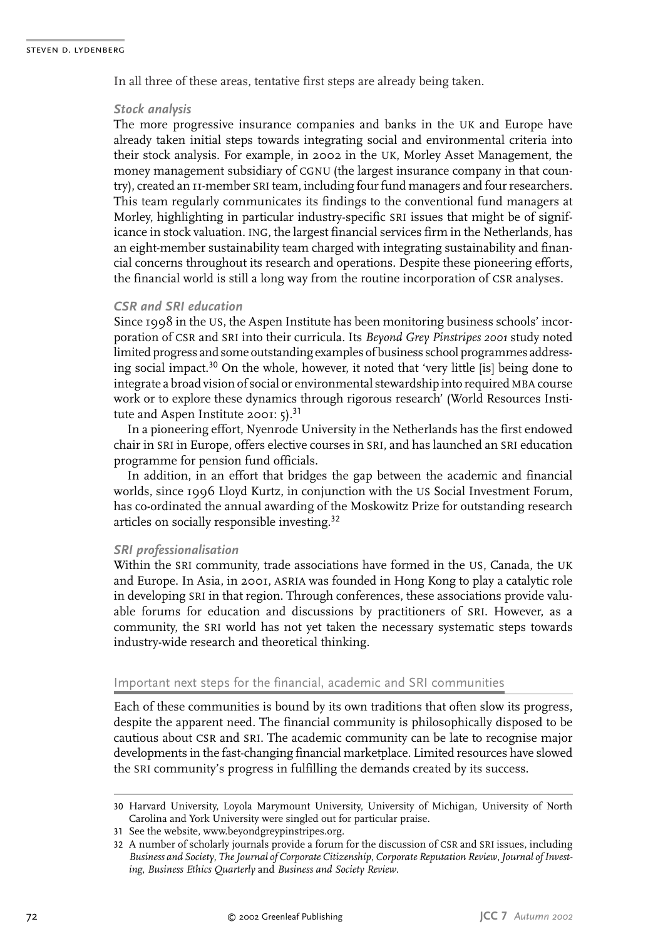In all three of these areas, tentative first steps are already being taken.

#### *Stock analysis*

The more progressive insurance companies and banks in the UK and Europe have already taken initial steps towards integrating social and environmental criteria into their stock analysis. For example, in 2002 in the UK, Morley Asset Management, the money management subsidiary of CGNU (the largest insurance company in that country), created an 11-member SRI team, including four fund managers and four researchers. This team regularly communicates its findings to the conventional fund managers at Morley, highlighting in particular industry-specific SRI issues that might be of significance in stock valuation. ING, the largest financial services firm in the Netherlands, has an eight-member sustainability team charged with integrating sustainability and financial concerns throughout its research and operations. Despite these pioneering efforts, the financial world is still a long way from the routine incorporation of CSR analyses.

## *CSR and SRI education*

Since 1998 in the US, the Aspen Institute has been monitoring business schools' incorporation of CSR and SRI into their curricula. Its *Beyond Grey Pinstripes 2001* study noted limited progress and some outstanding examples of business school programmes addressing social impact.<sup>30</sup> On the whole, however, it noted that 'very little [is] being done to integrate a broad vision of social or environmental stewardship into required MBA course work or to explore these dynamics through rigorous research' (World Resources Institute and Aspen Institute 2001: 5).<sup>31</sup>

In a pioneering effort, Nyenrode University in the Netherlands has the first endowed chair in SRI in Europe, offers elective courses in SRI, and has launched an SRI education programme for pension fund officials.

In addition, in an effort that bridges the gap between the academic and financial worlds, since 1996 Lloyd Kurtz, in conjunction with the US Social Investment Forum, has co-ordinated the annual awarding of the Moskowitz Prize for outstanding research articles on socially responsible investing.<sup>32</sup>

# *SRI professionalisation*

Within the SRI community, trade associations have formed in the US, Canada, the UK and Europe. In Asia, in 2001, ASRIA was founded in Hong Kong to play a catalytic role in developing SRI in that region. Through conferences, these associations provide valuable forums for education and discussions by practitioners of SRI. However, as a community, the SRI world has not yet taken the necessary systematic steps towards industry-wide research and theoretical thinking.

# Important next steps for the financial, academic and SRI communities

Each of these communities is bound by its own traditions that often slow its progress, despite the apparent need. The financial community is philosophically disposed to be cautious about CSR and SRI. The academic community can be late to recognise major developments in the fast-changing financial marketplace. Limited resources have slowed the SRI community's progress in fulfilling the demands created by its success.

<sup>30</sup> Harvard University, Loyola Marymount University, University of Michigan, University of North Carolina and York University were singled out for particular praise.

<sup>31</sup> See the website, www.beyondgreypinstripes.org.

<sup>32</sup> A number of scholarly journals provide a forum for the discussion of CSR and SRI issues, including *Business and Society*, *The Journal of Corporate Citizenship*, *Corporate Reputation Review*, *Journal of Investing*, *Business Ethics Quarterly* and *Business and Society Review*.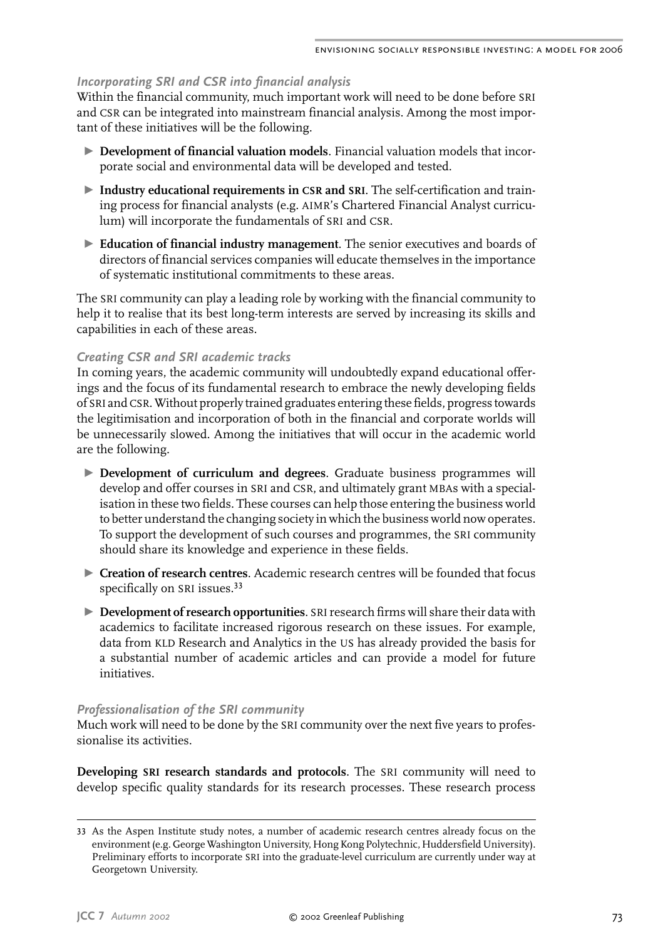## *Incorporating SRI and CSR into financial analysis*

Within the financial community, much important work will need to be done before SRI and CSR can be integrated into mainstream financial analysis. Among the most important of these initiatives will be the following.

- **Development of financial valuation models**. Financial valuation models that incorporate social and environmental data will be developed and tested.
- **Industry educational requirements in CSR and SRI. The self-certification and train**ing process for financial analysts (e.g. AIMR's Chartered Financial Analyst curriculum) will incorporate the fundamentals of SRI and CSR.
- **Education of financial industry management**. The senior executives and boards of directors of financial services companies will educate themselves in the importance of systematic institutional commitments to these areas.

The SRI community can play a leading role by working with the financial community to help it to realise that its best long-term interests are served by increasing its skills and capabilities in each of these areas.

## *Creating CSR and SRI academic tracks*

In coming years, the academic community will undoubtedly expand educational offerings and the focus of its fundamental research to embrace the newly developing fields of SRI and CSR. Without properly trained graduates entering these fields, progress towards the legitimisation and incorporation of both in the financial and corporate worlds will be unnecessarily slowed. Among the initiatives that will occur in the academic world are the following.

- **Development of curriculum and degrees**. Graduate business programmes will develop and offer courses in SRI and CSR, and ultimately grant MBAs with a specialisation in these two fields. These courses can help those entering the business world to better understand the changing society in which the business world now operates. To support the development of such courses and programmes, the SRI community should share its knowledge and experience in these fields.
- $\triangleright$  Creation of research centres. Academic research centres will be founded that focus specifically on SRI issues.<sup>33</sup>
- **Development of research opportunities**. SRI research firms will share their data with academics to facilitate increased rigorous research on these issues. For example, data from KLD Research and Analytics in the US has already provided the basis for a substantial number of academic articles and can provide a model for future initiatives.

#### *Professionalisation of the SRI community*

Much work will need to be done by the SRI community over the next five years to professionalise its activities.

**Developing SRI research standards and protocols**. The SRI community will need to develop specific quality standards for its research processes. These research process

<sup>33</sup> As the Aspen Institute study notes, a number of academic research centres already focus on the environment (e.g. George Washington University, Hong Kong Polytechnic, Huddersfield University). Preliminary efforts to incorporate SRI into the graduate-level curriculum are currently under way at Georgetown University.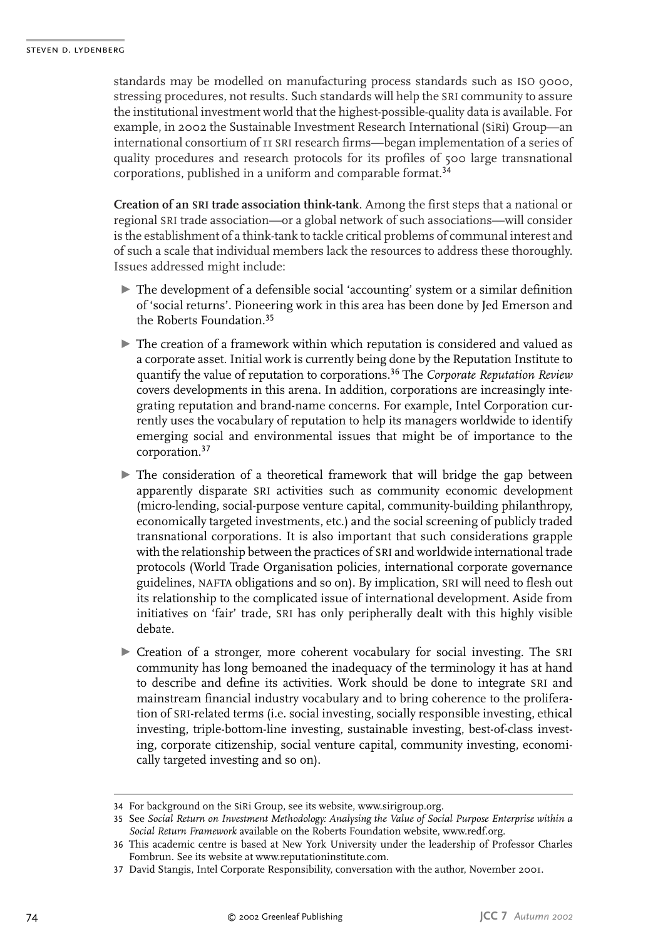standards may be modelled on manufacturing process standards such as ISO 9000, stressing procedures, not results. Such standards will help the SRI community to assure the institutional investment world that the highest-possible-quality data is available. For example, in 2002 the Sustainable Investment Research International (SiRi) Group—an international consortium of 11 SRI research firms—began implementation of a series of quality procedures and research protocols for its profiles of 500 large transnational corporations, published in a uniform and comparable format.<sup>34</sup>

**Creation of an SRI trade association think-tank**. Among the first steps that a national or regional SRI trade association—or a global network of such associations—will consider is the establishment of a think-tank to tackle critical problems of communal interest and of such a scale that individual members lack the resources to address these thoroughly. Issues addressed might include:

- $\blacktriangleright$  The development of a defensible social 'accounting' system or a similar definition of 'social returns'. Pioneering work in this area has been done by Jed Emerson and the Roberts Foundation.<sup>35</sup>
- $\blacktriangleright$  The creation of a framework within which reputation is considered and valued as a corporate asset. Initial work is currently being done by the Reputation Institute to quantify the value of reputation to corporations.<sup>36</sup> The *Corporate Reputation Review* covers developments in this arena. In addition, corporations are increasingly integrating reputation and brand-name concerns. For example, Intel Corporation currently uses the vocabulary of reputation to help its managers worldwide to identify emerging social and environmental issues that might be of importance to the corporation.<sup>37</sup>
- $\blacktriangleright$  The consideration of a theoretical framework that will bridge the gap between apparently disparate SRI activities such as community economic development (micro-lending, social-purpose venture capital, community-building philanthropy, economically targeted investments, etc.) and the social screening of publicly traded transnational corporations. It is also important that such considerations grapple with the relationship between the practices of SRI and worldwide international trade protocols (World Trade Organisation policies, international corporate governance guidelines, NAFTA obligations and so on). By implication, SRI will need to flesh out its relationship to the complicated issue of international development. Aside from initiatives on 'fair' trade, SRI has only peripherally dealt with this highly visible debate.
- Creation of a stronger, more coherent vocabulary for social investing. The SRI community has long bemoaned the inadequacy of the terminology it has at hand to describe and define its activities. Work should be done to integrate SRI and mainstream financial industry vocabulary and to bring coherence to the proliferation of SRI-related terms (i.e. social investing, socially responsible investing, ethical investing, triple-bottom-line investing, sustainable investing, best-of-class investing, corporate citizenship, social venture capital, community investing, economically targeted investing and so on).

<sup>34</sup> For background on the SiRi Group, see its website, www.sirigroup.org.

<sup>35</sup> See *Social Return on Investment Methodology: Analysing the Value of Social Purpose Enterprise within a Social Return Framework* available on the Roberts Foundation website, www.redf.org.

<sup>36</sup> This academic centre is based at New York University under the leadership of Professor Charles Fombrun. See its website at www.reputationinstitute.com.

<sup>37</sup> David Stangis, Intel Corporate Responsibility, conversation with the author, November 2001.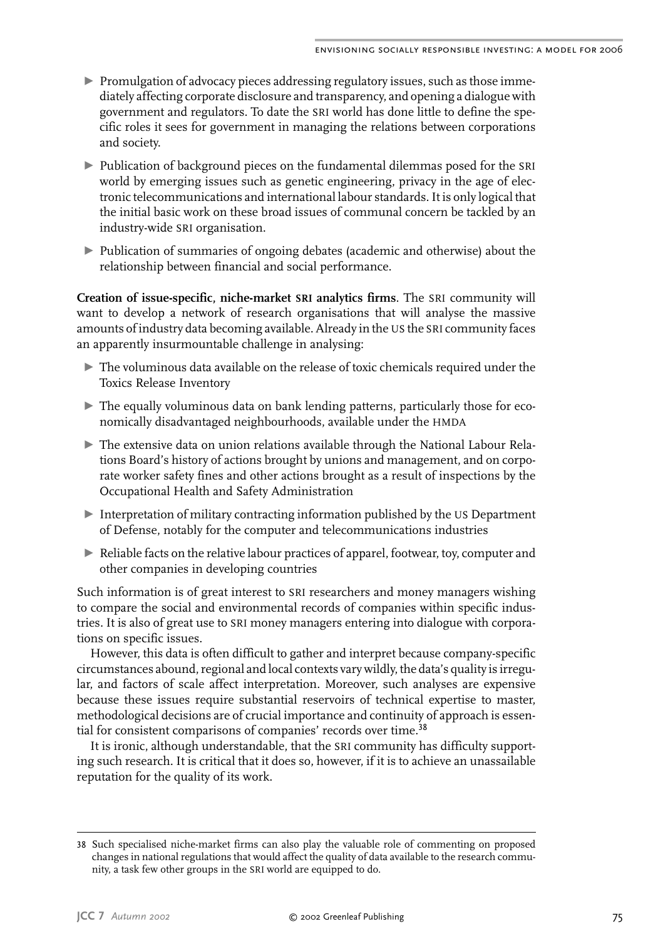- Promulgation of advocacy pieces addressing regulatory issues, such as those immediately affecting corporate disclosure and transparency, and opening a dialogue with government and regulators. To date the SRI world has done little to define the specific roles it sees for government in managing the relations between corporations and society.
- Publication of background pieces on the fundamental dilemmas posed for the SRI world by emerging issues such as genetic engineering, privacy in the age of electronic telecommunications and international labour standards. It is only logical that the initial basic work on these broad issues of communal concern be tackled by an industry-wide SRI organisation.
- Publication of summaries of ongoing debates (academic and otherwise) about the relationship between financial and social performance.

**Creation of issue-specific, niche-market SRI analytics firms**. The SRI community will want to develop a network of research organisations that will analyse the massive amounts of industry data becoming available. Already in the US the SRI community faces an apparently insurmountable challenge in analysing:

- $\blacktriangleright$  The voluminous data available on the release of toxic chemicals required under the Toxics Release Inventory
- The equally voluminous data on bank lending patterns, particularly those for economically disadvantaged neighbourhoods, available under the HMDA
- The extensive data on union relations available through the National Labour Relations Board's history of actions brought by unions and management, and on corporate worker safety fines and other actions brought as a result of inspections by the Occupational Health and Safety Administration
- $\blacktriangleright$  Interpretation of military contracting information published by the US Department of Defense, notably for the computer and telecommunications industries
- $\blacktriangleright$  Reliable facts on the relative labour practices of apparel, footwear, toy, computer and other companies in developing countries

Such information is of great interest to SRI researchers and money managers wishing to compare the social and environmental records of companies within specific industries. It is also of great use to SRI money managers entering into dialogue with corporations on specific issues.

However, this data is often difficult to gather and interpret because company-specific circumstances abound, regional and local contexts vary wildly, the data's quality is irregular, and factors of scale affect interpretation. Moreover, such analyses are expensive because these issues require substantial reservoirs of technical expertise to master, methodological decisions are of crucial importance and continuity of approach is essential for consistent comparisons of companies' records over time.<sup>38</sup>

It is ironic, although understandable, that the SRI community has difficulty supporting such research. It is critical that it does so, however, if it is to achieve an unassailable reputation for the quality of its work.

<sup>38</sup> Such specialised niche-market firms can also play the valuable role of commenting on proposed changes in national regulations that would affect the quality of data available to the research community, a task few other groups in the SRI world are equipped to do.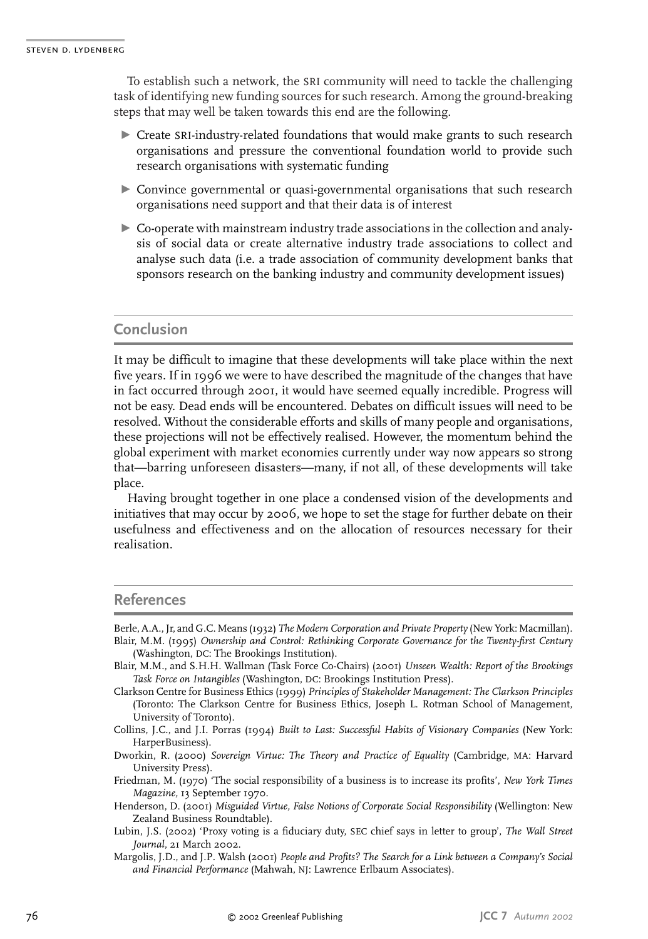To establish such a network, the SRI community will need to tackle the challenging task of identifying new funding sources for such research. Among the ground-breaking steps that may well be taken towards this end are the following.

- Create SRI-industry-related foundations that would make grants to such research organisations and pressure the conventional foundation world to provide such research organisations with systematic funding
- Convince governmental or quasi-governmental organisations that such research organisations need support and that their data is of interest
- $\triangleright$  Co-operate with mainstream industry trade associations in the collection and analysis of social data or create alternative industry trade associations to collect and analyse such data (i.e. a trade association of community development banks that sponsors research on the banking industry and community development issues)

# **Conclusion**

It may be difficult to imagine that these developments will take place within the next five years. If in 1996 we were to have described the magnitude of the changes that have in fact occurred through 2001, it would have seemed equally incredible. Progress will not be easy. Dead ends will be encountered. Debates on difficult issues will need to be resolved. Without the considerable efforts and skills of many people and organisations, these projections will not be effectively realised. However, the momentum behind the global experiment with market economies currently under way now appears so strong that—barring unforeseen disasters—many, if not all, of these developments will take place.

Having brought together in one place a condensed vision of the developments and initiatives that may occur by 2006, we hope to set the stage for further debate on their usefulness and effectiveness and on the allocation of resources necessary for their realisation.

# **References**

- Berle, A.A., Jr, and G.C. Means (1932) *The Modern Corporation and Private Property* (New York: Macmillan). Blair, M.M. (1995) *Ownership and Control: Rethinking Corporate Governance for the Twenty-first Century* (Washington, DC: The Brookings Institution).
- Blair, M.M., and S.H.H. Wallman (Task Force Co-Chairs) (2001) *Unseen Wealth: Report of the Brookings Task Force on Intangibles* (Washington, DC: Brookings Institution Press).
- Clarkson Centre for Business Ethics (1999) *Principles of Stakeholder Management: The Clarkson Principles* (Toronto: The Clarkson Centre for Business Ethics, Joseph L. Rotman School of Management, University of Toronto).
- Collins, J.C., and J.I. Porras (1994) *Built to Last: Successful Habits of Visionary Companies* (New York: HarperBusiness).
- Dworkin, R. (2000) *Sovereign Virtue: The Theory and Practice of Equality* (Cambridge, MA: Harvard University Press).
- Friedman, M. (1970) 'The social responsibility of a business is to increase its profits', *New York Times Magazine,* 13 September 1970.
- Henderson, D. (2001) *Misguided Virtue, False Notions of Corporate Social Responsibility* (Wellington: New Zealand Business Roundtable).
- Lubin, J.S. (2002) 'Proxy voting is a fiduciary duty, SEC chief says in letter to group', *The Wall Street Journal*, 21 March 2002.
- Margolis, J.D., and J.P. Walsh (2001) *People and Profits? The Search for a Link between a Company's Social and Financial Performance* (Mahwah, NJ: Lawrence Erlbaum Associates).